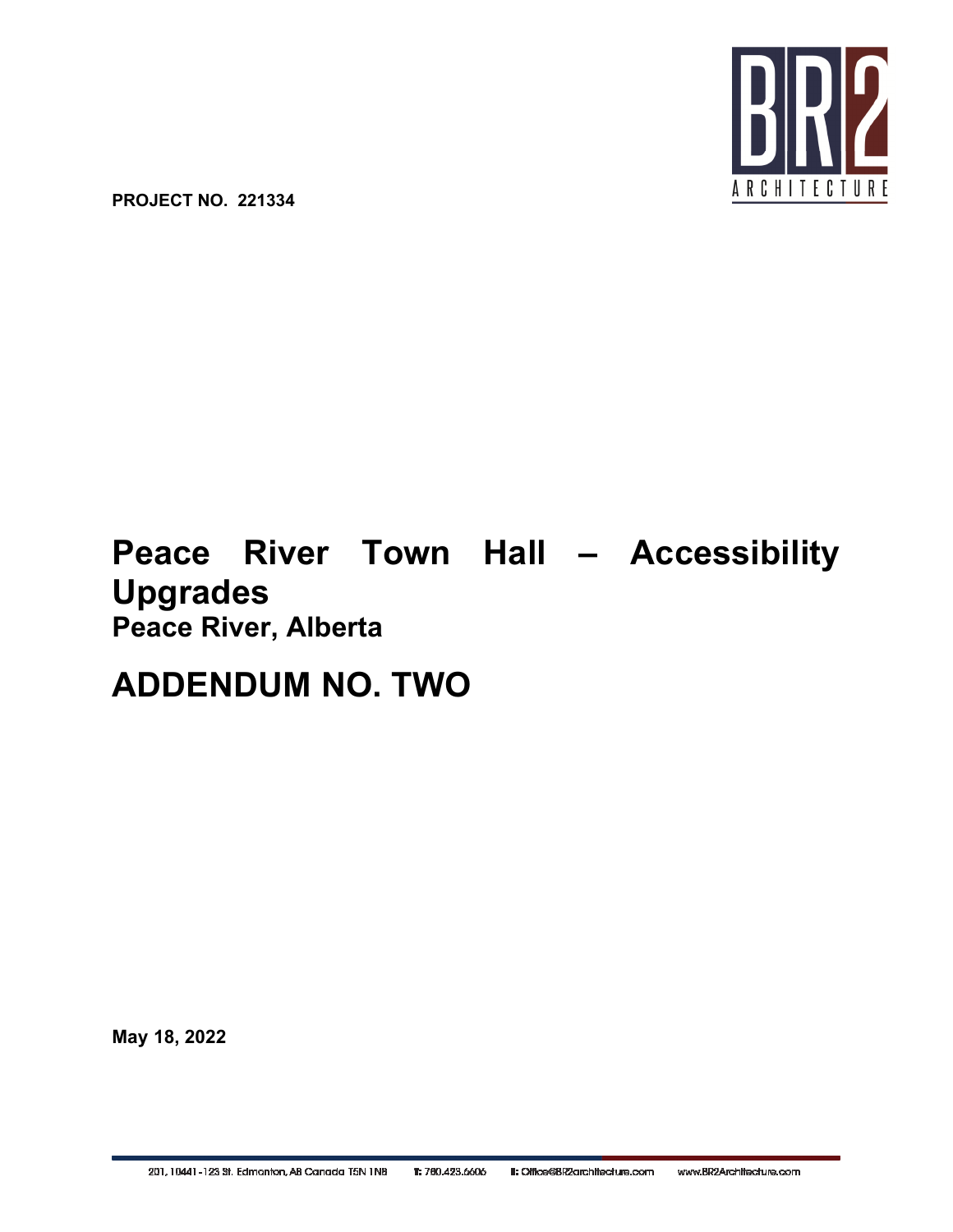

**PROJECT NO. 221334**

# **Peace River Town Hall – Accessibility Upgrades Peace River, Alberta**

## **ADDENDUM NO. TWO**

**May 18, 2022**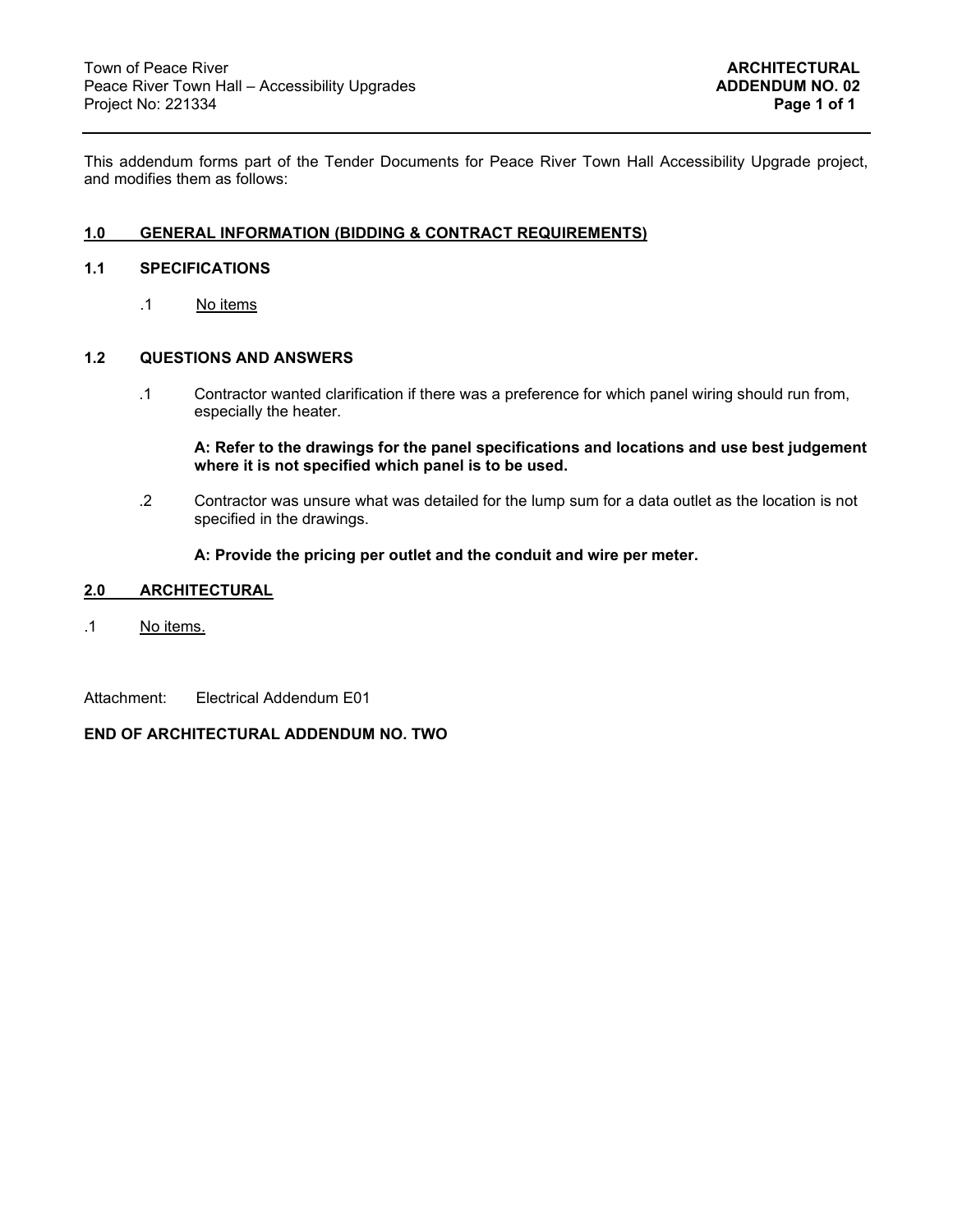This addendum forms part of the Tender Documents for Peace River Town Hall Accessibility Upgrade project, and modifies them as follows:

#### **1.0 GENERAL INFORMATION (BIDDING & CONTRACT REQUIREMENTS)**

#### **1.1 SPECIFICATIONS**

.1 No items

#### **1.2 QUESTIONS AND ANSWERS**

.1 Contractor wanted clarification if there was a preference for which panel wiring should run from, especially the heater.

**A: Refer to the drawings for the panel specifications and locations and use best judgement where it is not specified which panel is to be used.** 

.2 Contractor was unsure what was detailed for the lump sum for a data outlet as the location is not specified in the drawings.

#### **A: Provide the pricing per outlet and the conduit and wire per meter.**

#### **2.0 ARCHITECTURAL**

- .1 No items.
- Attachment: Electrical Addendum E01

#### **END OF ARCHITECTURAL ADDENDUM NO. TWO**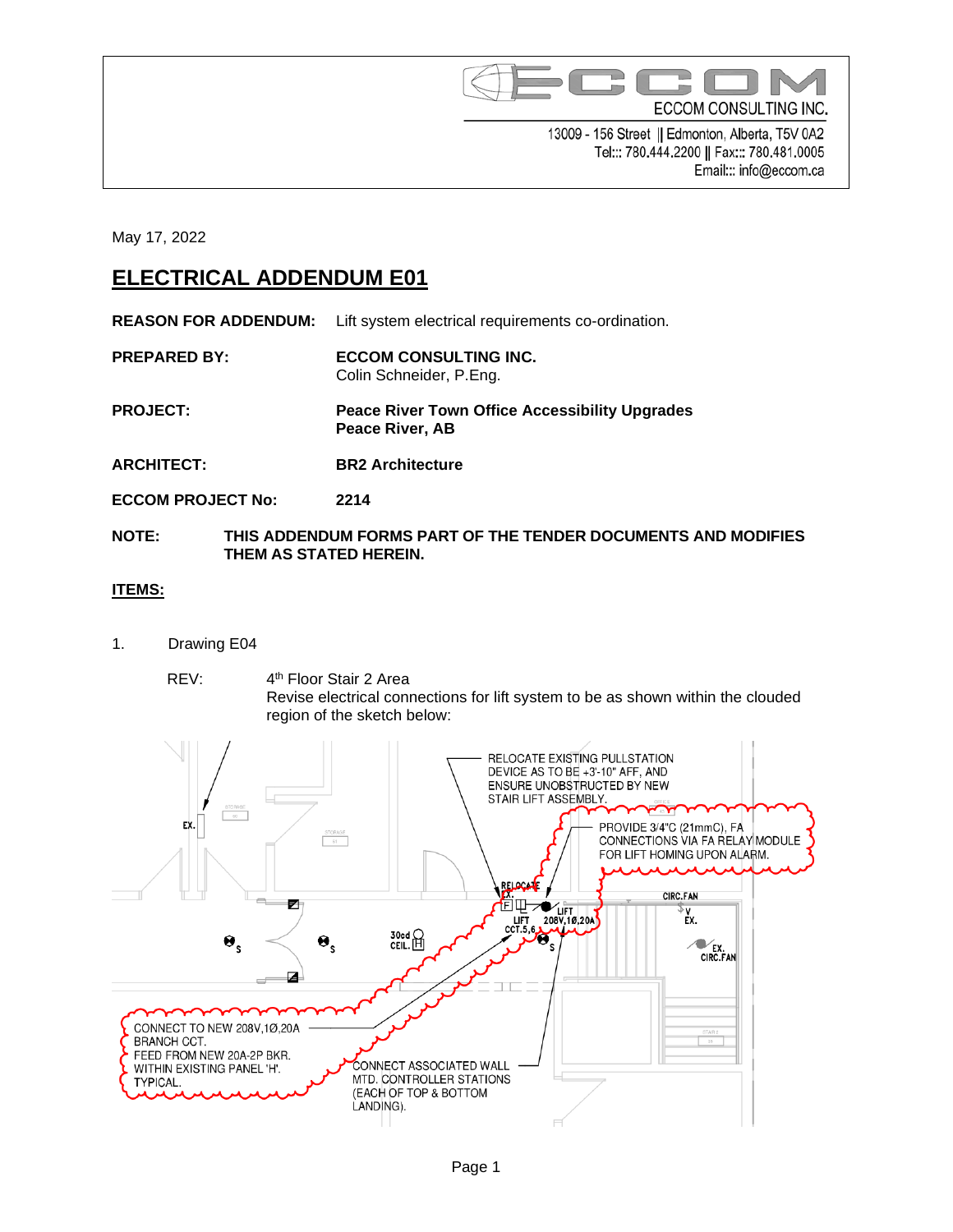

13009 - 156 Street || Edmonton, Alberta, T5V 0A2 Tel::: 780.444.2200 || Fax::: 780.481.0005 Email::: info@eccom.ca

May 17, 2022

### **ELECTRICAL ADDENDUM E01**

**REASON FOR ADDENDUM:** Lift system electrical requirements co-ordination.

- **PREPARED BY: ECCOM CONSULTING INC.** Colin Schneider, P.Eng.
- **PROJECT: Peace River Town Office Accessibility Upgrades Peace River, AB**
- **ARCHITECT: BR2 Architecture**
- **ECCOM PROJECT No: 2214**
- **NOTE: THIS ADDENDUM FORMS PART OF THE TENDER DOCUMENTS AND MODIFIES THEM AS STATED HEREIN.**

### **ITEMS:**

- 1. Drawing E04
	- REV: 4<sup>th</sup> Floor Stair 2 Area Revise electrical connections for lift system to be as shown within the clouded region of the sketch below: